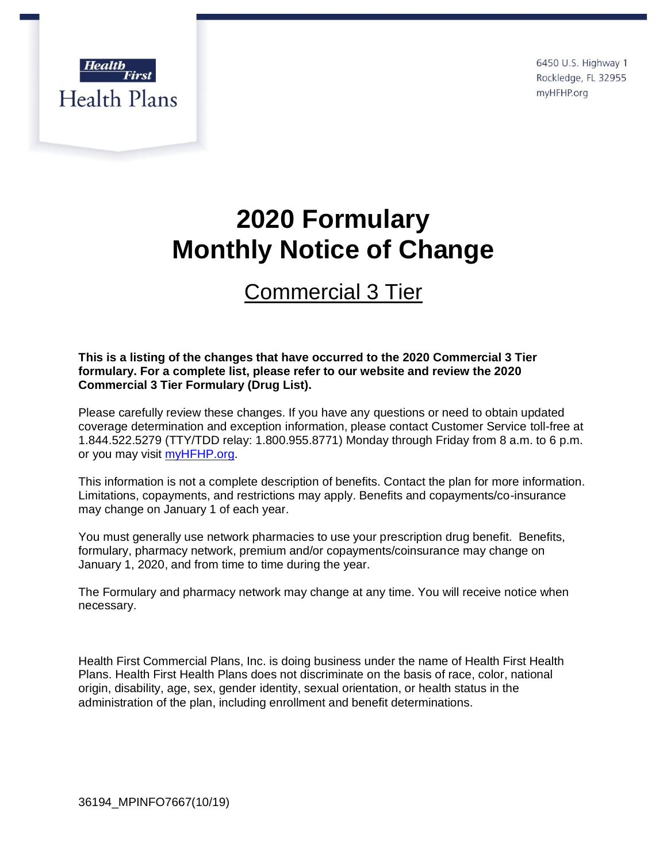

6450 U.S. Highway 1 Rockledge, FL 32955 myHFHP.org

# **2020 Formulary Monthly Notice of Change**

## Commercial 3 Tier

### **This is a listing of the changes that have occurred to the 2020 Commercial 3 Tier formulary. For a complete list, please refer to our website and review the 2020 Commercial 3 Tier Formulary (Drug List).**

Please carefully review these changes. If you have any questions or need to obtain updated coverage determination and exception information, please contact Customer Service toll-free at 1.844.522.5279 (TTY/TDD relay: 1.800.955.8771) Monday through Friday from 8 a.m. to 6 p.m. or you may visit [myHFHP.org.](file://///hfisilon.priv.health-first.org/sdrive/HFHP%20Pharmacy%20Confidential/Formularies/Formularies/2016%20CMS%20Documents/2016%20MAPD%20Web%20Docs/2016%20MAPD_Annual_Monthly%20Formulary%20Changes_website/1_%20March%202016%20MAPD%20Monthly%20Notice%20of%20Change/myHFHP.org)

This information is not a complete description of benefits. Contact the plan for more information. Limitations, copayments, and restrictions may apply. Benefits and copayments/co-insurance may change on January 1 of each year.

You must generally use network pharmacies to use your prescription drug benefit. Benefits, formulary, pharmacy network, premium and/or copayments/coinsurance may change on January 1, 2020, and from time to time during the year.

The Formulary and pharmacy network may change at any time. You will receive notice when necessary.

Health First Commercial Plans, Inc. is doing business under the name of Health First Health Plans. Health First Health Plans does not discriminate on the basis of race, color, national origin, disability, age, sex, gender identity, sexual orientation, or health status in the administration of the plan, including enrollment and benefit determinations.